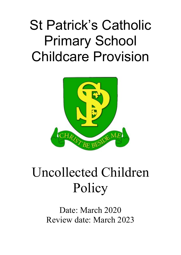# St Patrick's Catholic Primary School Childcare Provision



## Uncollected Children Policy

Date: March 2020 Review date: March 2023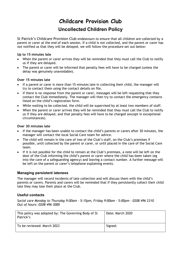### **Childcare Provision Club**

### **Uncollected Children Policy**

St Patrick's Childcare Provision Club endeavours to ensure that all children are collected by a parent or carer at the end of each session. If a child is not collected, and the parent or carer has *not* notified us that they will be delayed, we will follow the procedure set out below:

#### **Up to 15 minutes late**

- When the parent or carer arrives they will be reminded that they must call the Club to notify us if they are delayed.
- The parent or carer will be informed that penalty fees will have to be charged (unless the delay was genuinely unavoidable).

#### **Over 15 minutes late**

- If a parent or carer is more than 15 minutes late in collecting their child, the manager will try to contact them using the contact details on file.
- If there is no response from the parent or carer, messages will be left requesting that they contact the Club immediately. The manager will then try to contact the emergency contacts listed on the child's registration form.
- While waiting to be collected, the child will be supervised by at least two members of staff.
- When the parent or carer arrives they will be reminded that they must call the Club to notify us if they are delayed, and that penalty fees will have to be charged (except in exceptional circumstances).

#### **Over 30 minutes late**

- If the manager has been unable to contact the child's parents or carers after 30 minutes, the manager will contact the local Social Care team for advice.
- The child will remain in the care of two of the Club's staff, on the Club's premises if possible, until collected by the parent or carer, or until placed in the care of the Social Care team.
- If it is not possible for the child to remain at the Club's premises, a note will be left on the door of the Club informing the child's parent or carer where the child has been taken (eg into the care of a safeguarding agency) and leaving a contact number. A further message will be left on the parent or carer's telephone explaining events.

#### **Managing persistent lateness**

The manager will record incidents of late collection and will discuss them with the child's parents or carers. Parents and carers will be reminded that if they persistently collect their child late they may lose their place at the Club.

#### **Useful contacts**

*Social care Monday to Thursday 9:00am – 5:15pm, Friday 9:00am – 5:00pm – 0208 496 2310 Out of hours: 0208 496 3000*

| This policy was adopted by: The Governing Body of St<br>Patrick's | Date: March 2020 |
|-------------------------------------------------------------------|------------------|
| To be reviewed: March 2023                                        | Signed:          |